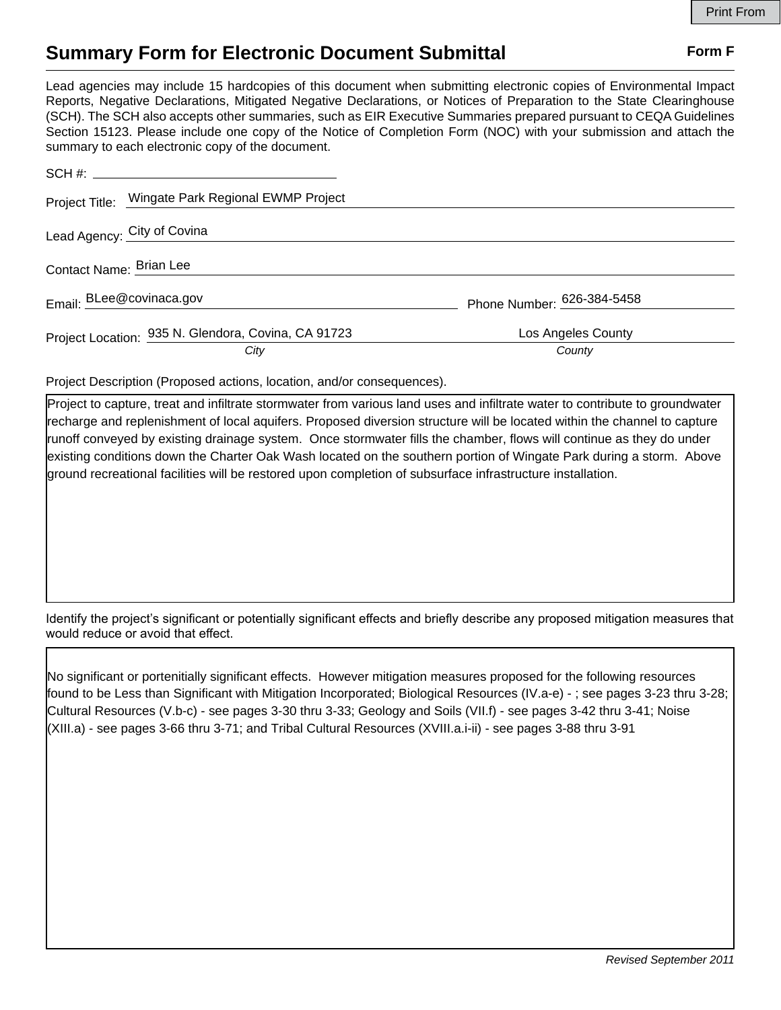## **Summary Form for Electronic Document Submittal Form F Form F**

Lead agencies may include 15 hardcopies of this document when submitting electronic copies of Environmental Impact Reports, Negative Declarations, Mitigated Negative Declarations, or Notices of Preparation to the State Clearinghouse (SCH). The SCH also accepts other summaries, such as EIR Executive Summaries prepared pursuant to CEQA Guidelines Section 15123. Please include one copy of the Notice of Completion Form (NOC) with your submission and attach the summary to each electronic copy of the document.

| Project Title: Wingate Park Regional EWMP Project   |                            |
|-----------------------------------------------------|----------------------------|
| Lead Agency: City of Covina                         |                            |
| Contact Name: Brian Lee                             |                            |
| Email: BLee@covinaca.gov                            | Phone Number: 626-384-5458 |
| Project Location: 935 N. Glendora, Covina, CA 91723 | Los Angeles County         |
| City                                                | County                     |

Project Description (Proposed actions, location, and/or consequences).

Project to capture, treat and infiltrate stormwater from various land uses and infiltrate water to contribute to groundwater recharge and replenishment of local aquifers. Proposed diversion structure will be located within the channel to capture runoff conveyed by existing drainage system. Once stormwater fills the chamber, flows will continue as they do under existing conditions down the Charter Oak Wash located on the southern portion of Wingate Park during a storm. Above ground recreational facilities will be restored upon completion of subsurface infrastructure installation.

Identify the project's significant or potentially significant effects and briefly describe any proposed mitigation measures that would reduce or avoid that effect.

No significant or portenitially significant effects. However mitigation measures proposed for the following resources found to be Less than Significant with Mitigation Incorporated; Biological Resources (IV.a-e) - ; see pages 3-23 thru 3-28; Cultural Resources (V.b-c) - see pages 3-30 thru 3-33; Geology and Soils (VII.f) - see pages 3-42 thru 3-41; Noise (XIII.a) - see pages 3-66 thru 3-71; and Tribal Cultural Resources (XVIII.a.i-ii) - see pages 3-88 thru 3-91